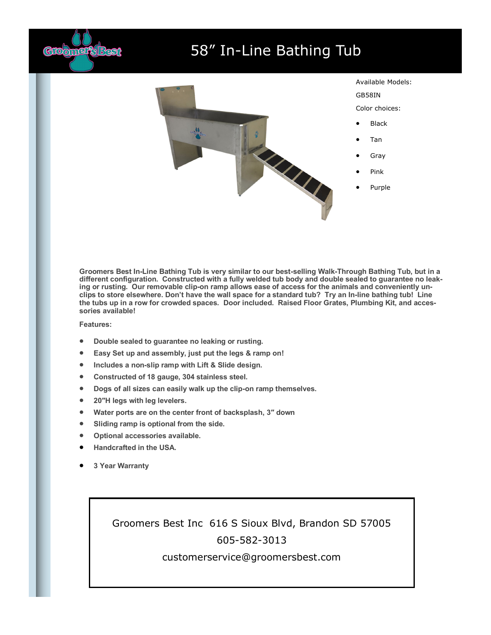

## 58" In-Line Bathing Tub



**Groomers Best In-Line Bathing Tub is very similar to our best-selling Walk-Through Bathing Tub, but in a different configuration. Constructed with a fully welded tub body and double sealed to guarantee no leaking or rusting. Our removable clip-on ramp allows ease of access for the animals and conveniently unclips to store elsewhere. Don't have the wall space for a standard tub? Try an In-line bathing tub! Line the tubs up in a row for crowded spaces. Door included. Raised Floor Grates, Plumbing Kit, and accessories available!**

## **Features:**

- **Double sealed to guarantee no leaking or rusting.**
- **Easy Set up and assembly, just put the legs & ramp on!**
- **Includes a non-slip ramp with Lift & Slide design.**
- **Constructed of 18 gauge, 304 stainless steel.**
- **Dogs of all sizes can easily walk up the clip-on ramp themselves.**
- **20″H legs with leg levelers.**
- **Water ports are on the center front of backsplash, 3″ down**
- **Sliding ramp is optional from the side.**
- **Optional accessories available.**
- **Handcrafted in the USA.**
- **3 Year Warranty**

Groomers Best Inc 616 S Sioux Blvd, Brandon SD 57005 605-582-3013

## customerservice@groomersbest.com